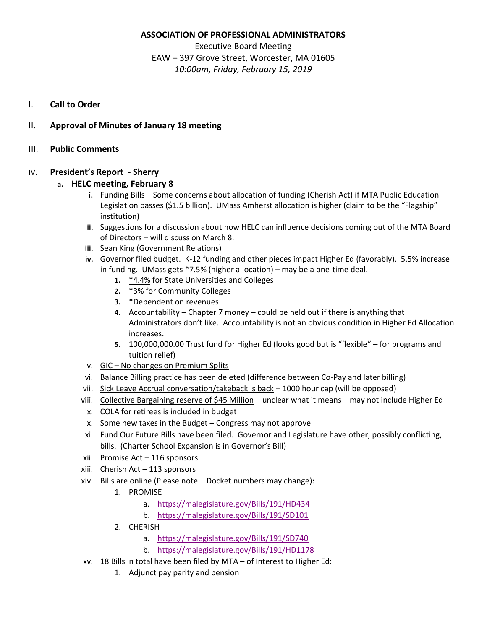# **ASSOCIATION OF PROFESSIONAL ADMINISTRATORS**

Executive Board Meeting EAW – 397 Grove Street, Worcester, MA 01605 *10:00am, Friday, February 15, 2019* 

- I. **Call to Order**
- II. **Approval of Minutes of January 18 meeting**
- III. **Public Comments**

# IV. **President's Report - Sherry**

# **a. HELC meeting, February 8**

- **i.** Funding Bills Some concerns about allocation of funding (Cherish Act) if MTA Public Education Legislation passes (\$1.5 billion). UMass Amherst allocation is higher (claim to be the "Flagship" institution)
- **ii.** Suggestions for a discussion about how HELC can influence decisions coming out of the MTA Board of Directors – will discuss on March 8.
- **iii.** Sean King (Government Relations)
- **iv.** Governor filed budget. K-12 funding and other pieces impact Higher Ed (favorably). 5.5% increase in funding. UMass gets \*7.5% (higher allocation) – may be a one-time deal.
	- **1.** \*4.4% for State Universities and Colleges
	- **2.** \*3% for Community Colleges
	- **3.** \*Dependent on revenues
	- **4.** Accountability Chapter 7 money could be held out if there is anything that Administrators don't like. Accountability is not an obvious condition in Higher Ed Allocation increases.
	- **5.** 100,000,000.00 Trust fund for Higher Ed (looks good but is "flexible" for programs and tuition relief)
- v. GIC No changes on Premium Splits
- vi. Balance Billing practice has been deleted (difference between Co-Pay and later billing)
- vii. Sick Leave Accrual conversation/takeback is back 1000 hour cap (will be opposed)
- viii. Collective Bargaining reserve of \$45 Million unclear what it means may not include Higher Ed
- ix. COLA for retirees is included in budget
- x. Some new taxes in the Budget Congress may not approve
- xi. Fund Our Future Bills have been filed. Governor and Legislature have other, possibly conflicting, bills. (Charter School Expansion is in Governor's Bill)
- xii. Promise Act 116 sponsors
- xiii. Cherish Act 113 sponsors
- xiv. Bills are online (Please note Docket numbers may change):
	- 1. PROMISE
		- a. <https://malegislature.gov/Bills/191/HD434>
		- b. <https://malegislature.gov/Bills/191/SD101>
	- 2. CHERISH
		- a. <https://malegislature.gov/Bills/191/SD740>
		- b. <https://malegislature.gov/Bills/191/HD1178>
- xv. 18 Bills in total have been filed by MTA of Interest to Higher Ed:
	- 1. Adjunct pay parity and pension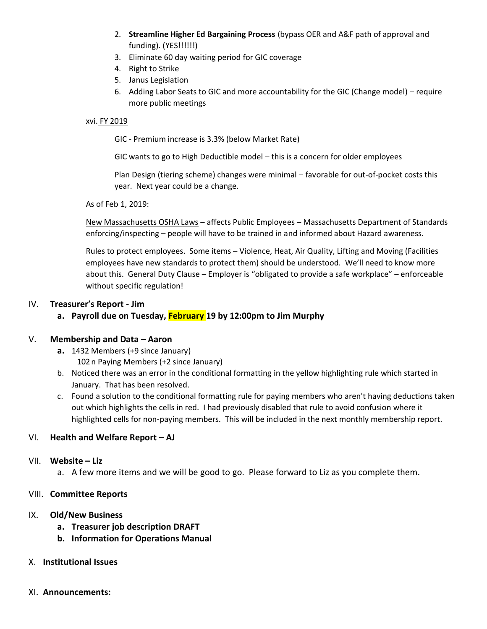- 2. **Streamline Higher Ed Bargaining Process** (bypass OER and A&F path of approval and funding). (YES!!!!!!)
- 3. Eliminate 60 day waiting period for GIC coverage
- 4. Right to Strike
- 5. Janus Legislation
- 6. Adding Labor Seats to GIC and more accountability for the GIC (Change model) require more public meetings

#### xvi. FY 2019

GIC - Premium increase is 3.3% (below Market Rate)

GIC wants to go to High Deductible model – this is a concern for older employees

Plan Design (tiering scheme) changes were minimal – favorable for out-of-pocket costs this year. Next year could be a change.

As of Feb 1, 2019:

New Massachusetts OSHA Laws – affects Public Employees – Massachusetts Department of Standards enforcing/inspecting – people will have to be trained in and informed about Hazard awareness.

Rules to protect employees. Some items – Violence, Heat, Air Quality, Lifting and Moving (Facilities employees have new standards to protect them) should be understood. We'll need to know more about this. General Duty Clause – Employer is "obligated to provide a safe workplace" – enforceable without specific regulation!

## IV. **Treasurer's Report - Jim**

## **a. Payroll due on Tuesday, February 19 by 12:00pm to Jim Murphy**

## V. **Membership and Data – Aaron**

- **a.** 1432 Members (+9 since January) 102n Paying Members (+2 since January)
- b. Noticed there was an error in the conditional formatting in the yellow highlighting rule which started in January. That has been resolved.
- c. Found a solution to the conditional formatting rule for paying members who aren't having deductions taken out which highlights the cells in red. I had previously disabled that rule to avoid confusion where it highlighted cells for non-paying members. This will be included in the next monthly membership report.

## VI. **Health and Welfare Report – AJ**

#### VII. **Website – Liz**

a. A few more items and we will be good to go. Please forward to Liz as you complete them.

## VIII. **Committee Reports**

#### IX. **Old/New Business**

- **a. Treasurer job description DRAFT**
- **b. Information for Operations Manual**

#### X. **Institutional Issues**

#### XI. **Announcements:**